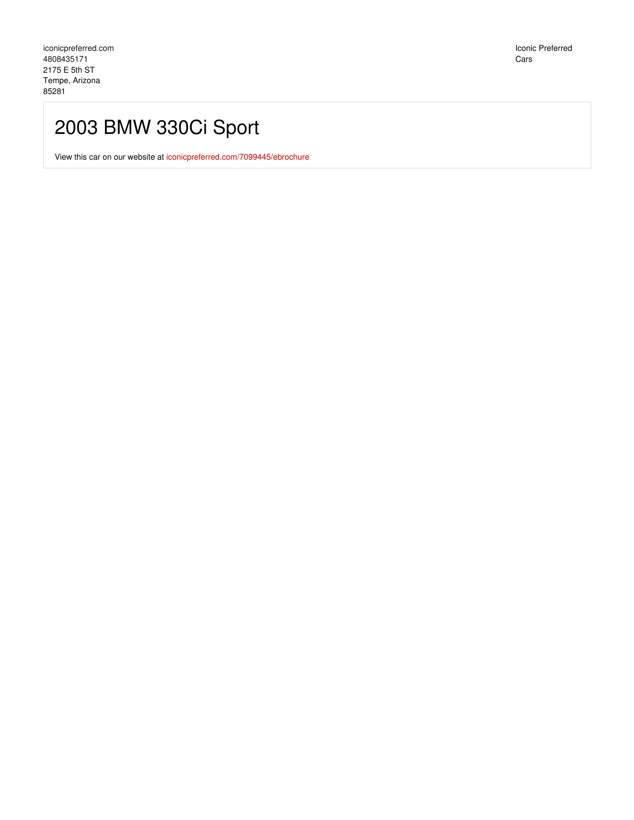Iconic Preferred Cars

# 2003 BMW 330Ci Sport

View this car on our website at [iconicpreferred.com/7099445/ebrochure](https://iconicpreferred.com/vehicle/7099445/2003-bmw-330ci-sport-tempe-arizona-85281/7099445/ebrochure)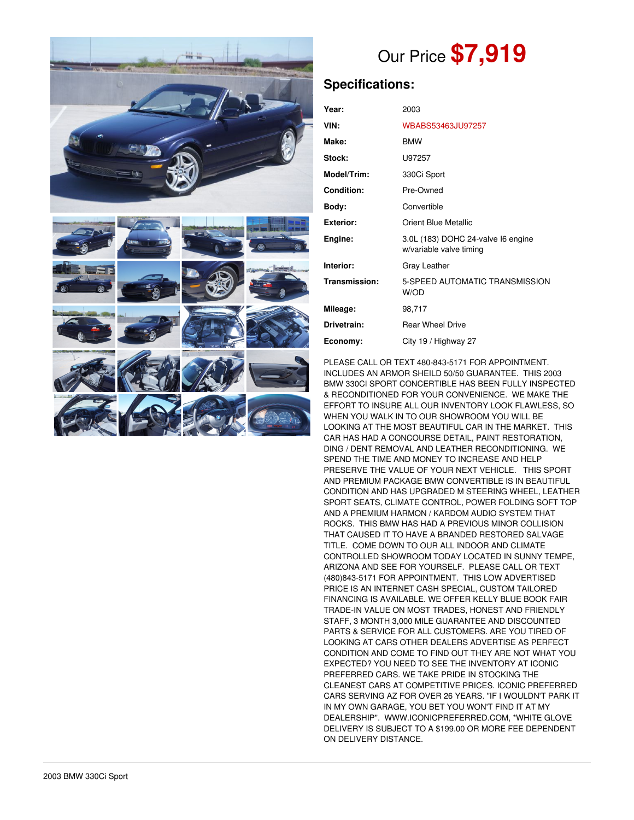

# Our Price **\$7,919**

# **Specifications:**

| Year:             | 2003                                                          |  |
|-------------------|---------------------------------------------------------------|--|
| VIN:              | WBABS53463JU97257                                             |  |
| Make:             | <b>BMW</b>                                                    |  |
| Stock:            | U97257                                                        |  |
| Model/Trim:       | 330Ci Sport                                                   |  |
| <b>Condition:</b> | Pre-Owned                                                     |  |
| Body:             | Convertible                                                   |  |
| <b>Exterior:</b>  | <b>Orient Blue Metallic</b>                                   |  |
| Engine:           | 3.0L (183) DOHC 24-valve I6 engine<br>w/variable valve timing |  |
| Interior:         | Gray Leather                                                  |  |
| Transmission:     | 5-SPEED AUTOMATIC TRANSMISSION<br>W/OD                        |  |
| Mileage:          | 98,717                                                        |  |
| Drivetrain:       | <b>Rear Wheel Drive</b>                                       |  |
| Economy:          | City 19 / Highway 27                                          |  |

PLEASE CALL OR TEXT 480-843-5171 FOR APPOINTMENT. INCLUDES AN ARMOR SHEILD 50/50 GUARANTEE. THIS 2003 BMW 330CI SPORT CONCERTIBLE HAS BEEN FULLY INSPECTED & RECONDITIONED FOR YOUR CONVENIENCE. WE MAKE THE EFFORT TO INSURE ALL OUR INVENTORY LOOK FLAWLESS, SO WHEN YOU WALK IN TO OUR SHOWROOM YOU WILL BE LOOKING AT THE MOST BEAUTIFUL CAR IN THE MARKET. THIS CAR HAS HAD A CONCOURSE DETAIL, PAINT RESTORATION, DING / DENT REMOVAL AND LEATHER RECONDITIONING. WE SPEND THE TIME AND MONEY TO INCREASE AND HELP PRESERVE THE VALUE OF YOUR NEXT VEHICLE. THIS SPORT AND PREMIUM PACKAGE BMW CONVERTIBLE IS IN BEAUTIFUL CONDITION AND HAS UPGRADED M STEERING WHEEL, LEATHER SPORT SEATS, CLIMATE CONTROL, POWER FOLDING SOFT TOP AND A PREMIUM HARMON / KARDOM AUDIO SYSTEM THAT ROCKS. THIS BMW HAS HAD A PREVIOUS MINOR COLLISION THAT CAUSED IT TO HAVE A BRANDED RESTORED SALVAGE TITLE. COME DOWN TO OUR ALL INDOOR AND CLIMATE CONTROLLED SHOWROOM TODAY LOCATED IN SUNNY TEMPE, ARIZONA AND SEE FOR YOURSELF. PLEASE CALL OR TEXT (480)843-5171 FOR APPOINTMENT. THIS LOW ADVERTISED PRICE IS AN INTERNET CASH SPECIAL, CUSTOM TAILORED FINANCING IS AVAILABLE. WE OFFER KELLY BLUE BOOK FAIR TRADE-IN VALUE ON MOST TRADES, HONEST AND FRIENDLY STAFF, 3 MONTH 3,000 MILE GUARANTEE AND DISCOUNTED PARTS & SERVICE FOR ALL CUSTOMERS. ARE YOU TIRED OF LOOKING AT CARS OTHER DEALERS ADVERTISE AS PERFECT CONDITION AND COME TO FIND OUT THEY ARE NOT WHAT YOU EXPECTED? YOU NEED TO SEE THE INVENTORY AT ICONIC PREFERRED CARS. WE TAKE PRIDE IN STOCKING THE CLEANEST CARS AT COMPETITIVE PRICES. ICONIC PREFERRED CARS SERVING AZ FOR OVER 26 YEARS. "IF I WOULDN'T PARK IT IN MY OWN GARAGE, YOU BET YOU WON'T FIND IT AT MY DEALERSHIP". WWW.ICONICPREFERRED.COM, \*WHITE GLOVE DELIVERY IS SUBJECT TO A \$199.00 OR MORE FEE DEPENDENT ON DELIVERY DISTANCE.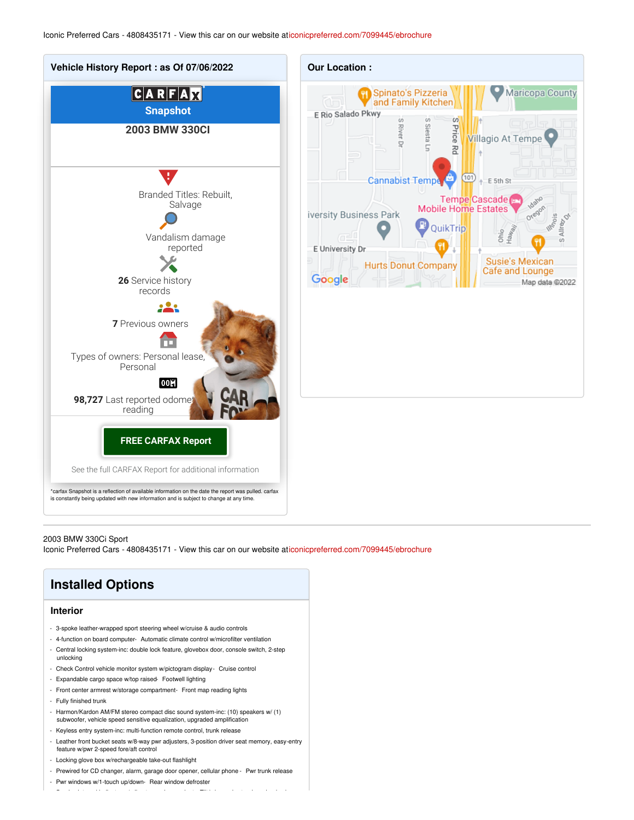

#### 2003 BMW 330Ci Sport

Iconic Preferred Cars - 4808435171 - View this car on our website a[ticonicpreferred.com/7099445/ebrochure](https://iconicpreferred.com/vehicle/7099445/2003-bmw-330ci-sport-tempe-arizona-85281/7099445/ebrochure)

# **Installed Options**

## **Interior**

- 3-spoke leather-wrapped sport steering wheel w/cruise & audio controls
- 4-function on board computer- Automatic climate control w/microfilter ventilation
- Central locking system-inc: double lock feature, glovebox door, console switch, 2-step unlocking
- Check Control vehicle monitor system w/pictogram display- Cruise control
- Expandable cargo space w/top raised- Footwell lighting
- Front center armrest w/storage compartment- Front map reading lights
- Fully finished trunk
- Harmon/Kardon AM/FM stereo compact disc sound system-inc: (10) speakers w/ (1) subwoofer, vehicle speed sensitive equalization, upgraded amplification
- Keyless entry system-inc: multi-function remote control, trunk release
- 
- Leather front bucket seats w/8-way pwr adjusters, 3-position driver seat memory, easy-entry feature w/pwr 2-speed fore/aft control

- Service interval interval indicator w/miles-to-service readout- Tilt/telescopic steering wheel column  $\mathcal{A}$ 

- Locking glove box w/rechargeable take-out flashlight
- Prewired for CD changer, alarm, garage door opener, cellular phone Pwr trunk release

- Pwr windows w/1-touch up/down- Rear window defroster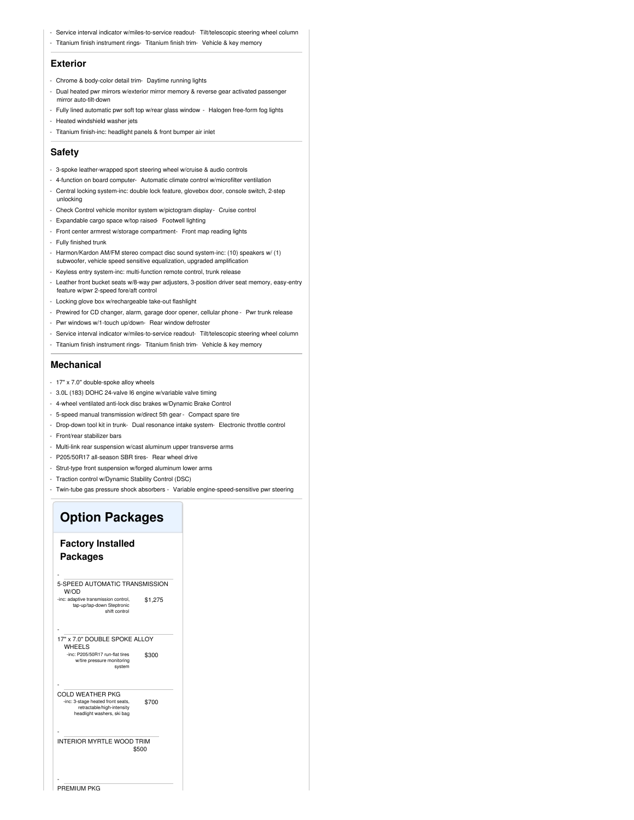- Service interval indicator w/miles-to-service readout- Tilt/telescopic steering wheel column
- Titanium finish instrument rings- Titanium finish trim- Vehicle & key memory

#### **Exterior**

- Chrome & body-color detail trim- Daytime running lights
- Dual heated pwr mirrors w/exterior mirror memory & reverse gear activated passenger mirror auto-tilt-down
- Fully lined automatic pwr soft top w/rear glass window Halogen free-form fog lights
- Heated windshield washer jets
- Titanium finish-inc: headlight panels & front bumper air inlet

### **Safety**

- 3-spoke leather-wrapped sport steering wheel w/cruise & audio controls
- 4-function on board computer- Automatic climate control w/microfilter ventilation
- Central locking system-inc: double lock feature, glovebox door, console switch, 2-step unlocking
- Check Control vehicle monitor system w/pictogram display- Cruise control
- Expandable cargo space w/top raised- Footwell lighting
- Front center armrest w/storage compartment- Front map reading lights
- Fully finished trunk
- Harmon/Kardon AM/FM stereo compact disc sound system-inc: (10) speakers w/ (1) subwoofer, vehicle speed sensitive equalization, upgraded amplification
- Keyless entry system-inc: multi-function remote control, trunk release - Leather front bucket seats w/8-way pwr adjusters, 3-position driver seat memory, easy-entry
- feature w/pwr 2-speed fore/aft control
- Locking glove box w/rechargeable take-out flashlight
- Prewired for CD changer, alarm, garage door opener, cellular phone Pwr trunk release
- Pwr windows w/1-touch up/down- Rear window defroster
- Service interval indicator w/miles-to-service readout- Tilt/telescopic steering wheel column
- Titanium finish instrument rings- Titanium finish trim- Vehicle & key memory

## **Mechanical**

- 17" x 7.0" double-spoke alloy wheels
- 3.0L (183) DOHC 24-valve I6 engine w/variable valve timing
- 4-wheel ventilated anti-lock disc brakes w/Dynamic Brake Control
- 5-speed manual transmission w/direct 5th gear Compact spare tire
- Drop-down tool kit in trunk- Dual resonance intake system- Electronic throttle control
- Front/rear stabilizer bars
- Multi-link rear suspension w/cast aluminum upper transverse arms
- P205/50R17 all-season SBR tires- Rear wheel drive
- Strut-type front suspension w/forged aluminum lower arms
- Traction control w/Dynamic Stability Control (DSC)
- Twin-tube gas pressure shock absorbers Variable engine-speed-sensitive pwr steering

# **Option Packages**

## **Factory Installed Packages**

-

| 5-SPEED AUTOMATIC TRANSMISSION<br>W/OD                                                        |         |
|-----------------------------------------------------------------------------------------------|---------|
| -inc: adaptive transmission control,<br>tap-up/tap-down Steptronic<br>shift control           | \$1,275 |
|                                                                                               |         |
| 17" x 7.0" DOUBLE SPOKE ALLOY<br>WHEELS                                                       |         |
| -inc: P205/50R17 run-flat tires<br>w/tire pressure monitoring<br>system                       | \$300   |
|                                                                                               |         |
| COLD WEATHER PKG                                                                              |         |
| -inc: 3-stage heated front seats.<br>retractable/high-intensity<br>headlight washers, ski bag | \$700   |
|                                                                                               |         |
| INTERIOR MYRTLE WOOD TRIM                                                                     | \$500   |
|                                                                                               |         |

-